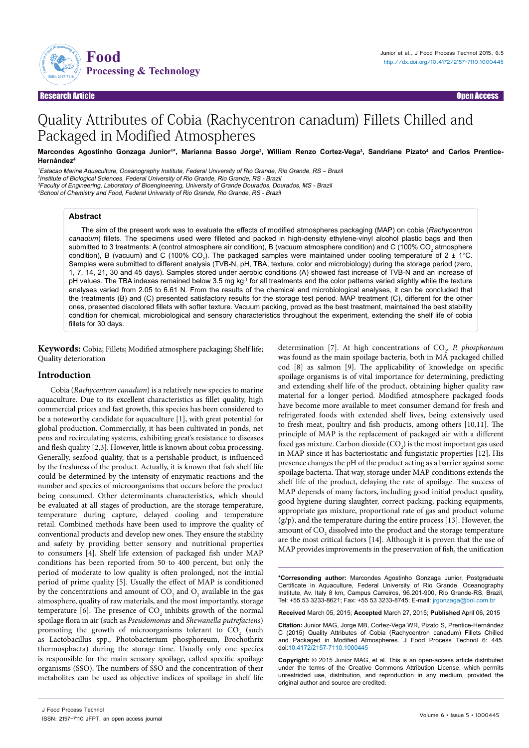

# Quality Attributes of Cobia (Rachycentron canadum) Fillets Chilled and Packaged in Modified Atmospheres

Marcondes Agostinho Gonzaga Junior<sup>ı</sup>\*, Marianna Basso Jorge<sup>2</sup>, William Renzo Cortez-Vega<sup>3</sup>, Sandriane Pizato<sup>4</sup> and Carlos Prentice-**Hernández4**

<sup>1</sup>Estacao Marine Aquaculture, Oceanography Institute, Federal University of Rio Grande, Rio Grande, RS – Brazil <sup>2</sup>Institute of Biological Sciences, Federal University of Rio Grande, Rio Grande, RS - Brazil <sup>3</sup>Faculty of Engineering, Laboratory of Bioengineering, University of Grande Dourados, Dourados, MS - Brazil

<sup>4</sup>School of Chemistry and Food, Federal University of Rio Grande, Rio Grande, RS - Brazil

**Abstract**

The aim of the present work was to evaluate the effects of modified atmospheres packaging (MAP) on cobia (*Rachycentron canadum*) fillets. The specimens used were filleted and packed in high-density ethylene-vinyl alcohol plastic bags and then submitted to 3 treatments: A (control atmosphere air condition), B (vacuum atmosphere condition) and C (100% CO $_2$  atmosphere condition), B (vacuum) and C (100% CO<sub>2</sub>). The packaged samples were maintained under cooling temperature of 2 ± 1°C. Samples were submitted to different analysis (TVB-N, pH, TBA, texture, color and microbiology) during the storage period (zero, 1, 7, 14, 21, 30 and 45 days). Samples stored under aerobic conditions (A) showed fast increase of TVB-N and an increase of pH values. The TBA indexes remained below 3.5 mg kg<sup>-1</sup> for all treatments and the color patterns varied slightly while the texture analyses varied from 2.05 to 6.61 N. From the results of the chemical and microbiological analyses, it can be concluded that the treatments (B) and (C) presented satisfactory results for the storage test period. MAP treatment (C), different for the other ones, presented discolored fillets with softer texture. Vacuum packing, proved as the best treatment, maintained the best stability condition for chemical, microbiological and sensory characteristics throughout the experiment, extending the shelf life of cobia fillets for 30 days.

**Keywords:** Cobia; Fillets; Modified atmosphere packaging; Shelf life; Quality deterioration

#### **Introduction**

Cobia (*Rachycentron canadum*) is a relatively new species to marine aquaculture. Due to its excellent characteristics as fillet quality, high commercial prices and fast growth, this species has been considered to be a noteworthy candidate for aquaculture [1], with great potential for global production. Commercially, it has been cultivated in ponds, net pens and recirculating systems, exhibiting great's resistance to diseases and flesh quality [2,3]. However, little is known about cobia processing. Generally, seafood quality, that is a perishable product, is influenced by the freshness of the product. Actually, it is known that fish shelf life could be determined by the intensity of enzymatic reactions and the number and species of microorganisms that occurs before the product being consumed. Other determinants characteristics, which should be evaluated at all stages of production, are the storage temperature, temperature during capture, delayed cooling and temperature retail. Combined methods have been used to improve the quality of conventional products and develop new ones. They ensure the stability and safety by providing better sensory and nutritional properties to consumers [4]. Shelf life extension of packaged fish under MAP conditions has been reported from 50 to 400 percent, but only the period of moderate to low quality is often prolonged, not the initial period of prime quality [5]. Usually the effect of MAP is conditioned by the concentrations and amount of  $\mathrm{CO}_2$  and  $\mathrm{O}_2$  available in the gas atmosphere, quality of raw materials, and the most importantly, storage temperature [6]. The presence of  $CO_2$  inhibits growth of the normal spoilage flora in air (such as *Pseudomonas* and *Shewanella putrefaciens*) promoting the growth of microorganisms tolerant to  $CO<sub>2</sub>$  (such as Lactobacillus spp., Photobacterium phosphoreum, Brochothrix thermosphacta) during the storage time. Usually only one species is responsible for the main sensory spoilage, called specific spoilage organisms (SSO). The numbers of SSO and the concentration of their metabolites can be used as objective indices of spoilage in shelf life

determination [7]. At high concentrations of CO<sub>2</sub>, *P. phosphoreum* was found as the main spoilage bacteria, both in MA packaged chilled cod [8] as salmon [9]. The applicability of knowledge on specific spoilage organisms is of vital importance for determining, predicting and extending shelf life of the product, obtaining higher quality raw material for a longer period. Modified atmosphere packaged foods have become more available to meet consumer demand for fresh and refrigerated foods with extended shelf lives, being extensively used to fresh meat, poultry and fish products, among others [10,11]. The principle of MAP is the replacement of packaged air with a different fixed gas mixture. Carbon dioxide  $({\rm CO}_2)$  is the most important gas used in MAP since it has bacteriostatic and fungistatic properties [12]. His presence changes the pH of the product acting as a barrier against some spoilage bacteria. That way, storage under MAP conditions extends the shelf life of the product, delaying the rate of spoilage. The success of MAP depends of many factors, including good initial product quality, good hygiene during slaughter, correct packing, packing equipments, appropriate gas mixture, proportional rate of gas and product volume  $(g/p)$ , and the temperature during the entire process [13]. However, the amount of  $\mathrm{CO}_2$  dissolved into the product and the storage temperature are the most critical factors [14]. Although it is proven that the use of MAP provides improvements in the preservation of fish, the unification

**\*Corresonding author:** Marcondes Agostinho Gonzaga Junior, Postgraduate Certificate in Aquaculture, Federal University of Rio Grande, Oceanography Institute, Av. Italy 8 km, Campus Carreiros, 96.201-900, Rio Grande-RS, Brazil, Tel: +55 53 3233-8621; Fax: +55 53 3233-8745; E-mail: jrgonzaga@bol.com.br

**Received** March 05, 2015; **Accepted** March 27, 2015; **Published** April 06, 2015

**Citation:** Junior MAG, Jorge MB, Cortez-Vega WR, Pizato S, Prentice-Hernández C (2015) Quality Attributes of Cobia (Rachycentron canadum) Fillets Chilled and Packaged in Modified Atmospheres. J Food Process Technol 6: 445. doi:[10.4172/2157-7110.1000445](http://dx.doi.org/10.4172/2157-7110.1000445)

**Copyright:** © 2015 Junior MAG, et al. This is an open-access article distributed under the terms of the Creative Commons Attribution License, which permits unrestricted use, distribution, and reproduction in any medium, provided the original author and source are credited.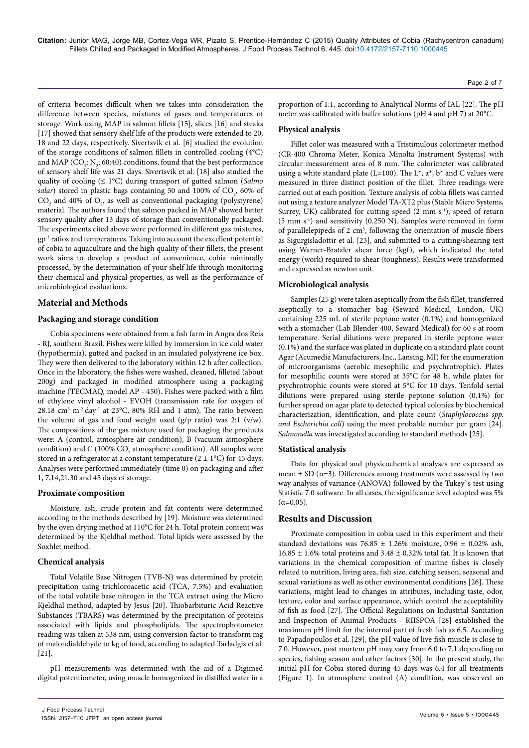of criteria becomes difficult when we takes into consideration the difference between species, mixtures of gases and temperatures of storage. Work using MAP in salmon fillets [15], slices [16] and steaks [17] showed that sensory shelf life of the products were extended to 20, 18 and 22 days, respectively. Sivertsvik et al. [6] studied the evolution of the storage conditions of salmon fillets in controlled cooling (4°C) and MAP (CO<sub>2</sub>: N<sub>2</sub>; 60:40) conditions, found that the best performance of sensory shelf life was 21 days. Sivertsvik et al. [18] also studied the quality of cooling (≤ 1°C) during transport of gutted salmon (*Salmo*   $\emph{salar}$ ) stored in plastic bags containing 50 and 100% of CO<sub>2</sub>, 60% of  $CO_2$  and 40% of  $O_2$ , as well as conventional packaging (polystyrene) material. The authors found that salmon packed in MAP showed better sensory quality after 13 days of storage than conventionally packaged. The experiments cited above were performed in different gas mixtures, gp-1 ratios and temperatures. Taking into account the excellent potential of cobia to aquaculture and the high quality of their fillets, the present work aims to develop a product of convenience, cobia minimally processed, by the determination of your shelf life through monitoring their chemical and physical properties, as well as the performance of microbiological evaluations.

# **Material and Methods**

# **Packaging and storage condition**

Cobia specimens were obtained from a fish farm in Angra dos Reis - RJ, southern Brazil. Fishes were killed by immersion in ice cold water (hypothermia), gutted and packed in an insulated polystyrene ice box. They were then delivered to the laboratory within 12 h after collection. Once in the laboratory, the fishes were washed, cleaned, filleted (about 200g) and packaged in modified atmosphere using a packaging machine (TECMAQ, model AP - 450). Fishes were packed with a film of ethylene vinyl alcohol - EVOH (transmission rate for oxygen of 28.18 cm<sup>3</sup> m<sup>-2</sup> day<sup>-1</sup> at 23°C, 80% RH and 1 atm). The ratio between the volume of gas and food weight used  $(g/p \text{ ratio})$  was 2:1  $(v/w)$ . The compositions of the gas mixture used for packaging the products were: A (control, atmosphere air condition), B (vacuum atmosphere condition) and C (100%  $\mathrm{CO}_\mathrm{2}$  atmosphere condition). All samples were stored in a refrigerator at a constant temperature  $(2 \pm 1^{\circ}C)$  for 45 days. Analyses were performed immediately (time 0) on packaging and after 1, 7,14,21,30 and 45 days of storage.

## **Proximate composition**

Moisture, ash, crude protein and fat contents were determined according to the methods described by [19]. Moisture was determined by the oven drying method at 110°C for 24 h. Total protein content was determined by the Kjeldhal method. Total lipids were assessed by the Soxhlet method.

## **Chemical analysis**

Total Volatile Base Nitrogen (TVB-N) was determined by protein precipitation using trichloroacetic acid (TCA, 7.5%) and evaluation of the total volatile base nitrogen in the TCA extract using the Micro Kjeldhal method, adapted by Jesus [20]. Thiobarbituric Acid Reactive Substances (TBARS) was determined by the precipitation of proteins associated with lipids and phospholipids. The spectrophotometer reading was taken at 538 nm, using conversion factor to transform mg of malondialdehyde to kg of food, according to adapted Tarladgis et al. [21].

pH measurements was determined with the aid of a Digimed digital potentiometer, using muscle homogenized in distilled water in a Page 2 of 7

## **Physical analysis**

Fillet color was measured with a Tristimulous colorimeter method (CR-400 Chroma Meter, Konica Minolta Instrument Systems) with circular measurement area of 8 mm. The colorimeter was calibrated using a white standard plate (L=100). The L<sup>\*</sup>, a<sup>\*</sup>, b<sup>\*</sup> and C values were measured in three distinct position of the fillet. Three readings were carried out at each position. Texture analysis of cobia fillets was carried out using a texture analyzer Model TA-XT2 plus (Stable Micro Systems, Surrey, UK) calibrated for cutting speed  $(2 \text{ mm s}^{-1})$ , speed of return (5 mm s-1) and sensitivity (0.250 N). Samples were removed in form of parallelepipeds of 2 cm<sup>3</sup>, following the orientation of muscle fibers as Sigurgisladottir et al. [23], and submitted to a cutting/shearing test using Warner-Bratzler shear force (kgf), which indicated the total energy (work) required to shear (toughness). Results were transformed and expressed as newton unit.

# **Microbiological analysis**

Samples (25 g) were taken aseptically from the fish fillet, transferred aseptically to a stomacher bag (Seward Medical, London, UK) containing 225 mL of sterile peptone water (0.1%) and homogenized with a stomacher (Lab Blender 400, Seward Medical) for 60 s at room temperature. Serial dilutions were prepared in sterile peptone water (0.1%) and the surface was plated in duplicate on a standard plate count Agar (Acumedia Manufacturers, Inc., Lansing, MI) for the enumeration of microorganisms (aerobic mesophilic and psychrotrophic). Plates for mesophilic counts were stored at 35°C for 48 h, while plates for psychrotrophic counts were stored at 5°C for 10 days. Tenfold serial dilutions were prepared using sterile peptone solution (0.1%) for further spread on agar plate to detected typical colonies by biochemical characterization, identification, and plate count (*Staphylococcus spp. and Escherichia coli*) using the most probable number per gram [24]. *Salmonella* was investigated according to standard methods [25].

## **Statistical analysis**

Data for physical and physicochemical analyses are expressed as mean  $\pm$  SD (n=3). Differences among treatments were assessed by two way analysis of variance (ANOVA) followed by the Tukey`s test using Statistic 7.0 software. In all cases, the significance level adopted was 5%  $(α=0.05)$ .

# **Results and Discussion**

Proximate composition in cobia used in this experiment and their standard deviations was 76.85  $\pm$  1.26% moisture, 0.96  $\pm$  0.02% ash, 16.85  $\pm$  1.6% total proteins and 3.48  $\pm$  0.32% total fat. It is known that variations in the chemical composition of marine fishes is closely related to nutrition, living area, fish size, catching season, seasonal and sexual variations as well as other environmental conditions [26]. These variations, might lead to changes in attributes, including taste, odor, texture, color and surface appearance, which control the acceptability of fish as food [27]. The Official Regulations on Industrial Sanitation and Inspection of Animal Products - RIISPOA [28] established the maximum pH limit for the internal part of fresh fish as 6.5. According to Papadopoulos et al. [29], the pH value of live fish muscle is close to 7.0. However, post mortem pH may vary from 6.0 to 7.1 depending on species, fishing season and other factors [30]. In the present study, the initial pH for Cobia stored during 45 days was 6.4 for all treatments (Figure 1). In atmosphere control (A) condition, was observed an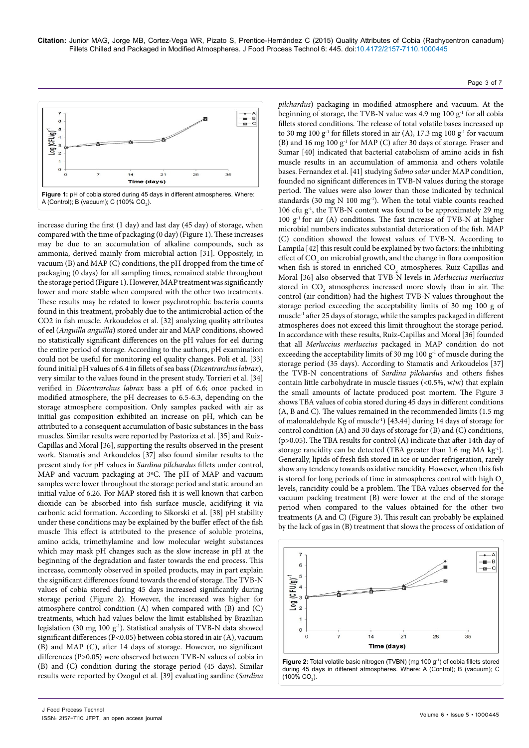

increase during the first (1 day) and last day (45 day) of storage, when compared with the time of packaging (0 day) (Figure 1). These increases may be due to an accumulation of alkaline compounds, such as ammonia, derived mainly from microbial action [31]. Oppositely, in vacuum (B) and MAP (C) conditions, the pH dropped from the time of packaging (0 days) for all sampling times, remained stable throughout the storage period (Figure 1). However, MAP treatment was significantly lower and more stable when compared with the other two treatments. These results may be related to lower psychrotrophic bacteria counts found in this treatment, probably due to the antimicrobial action of the CO2 in fish muscle. Arkoudelos et al. [32] analyzing quality attributes of eel (*Anguilla anguilla*) stored under air and MAP conditions, showed no statistically significant differences on the pH values for eel during the entire period of storage. According to the authors, pH examination could not be useful for monitoring eel quality changes. Poli et al. [33] found initial pH values of 6.4 in fillets of sea bass (*Dicentrarchus labrax*), very similar to the values found in the present study. Torrieri et al. [34] verified in *Dicentrarchus labrax* bass a pH of 6.6; once packed in modified atmosphere, the pH decreases to 6.5-6.3, depending on the storage atmosphere composition. Only samples packed with air as initial gas composition exhibited an increase on pH, which can be attributed to a consequent accumulation of basic substances in the bass muscles. Similar results were reported by Pastoriza et al. [35] and Ruiz-Capillas and Moral [36], supporting the results observed in the present work. Stamatis and Arkoudelos [37] also found similar results to the present study for pH values in *Sardina pilchardus* fillets under control, MAP and vacuum packaging at 3ºC. The pH of MAP and vacuum samples were lower throughout the storage period and static around an initial value of 6.26. For MAP stored fish it is well known that carbon dioxide can be absorbed into fish surface muscle, acidifying it via carbonic acid formation. According to Sikorski et al. [38] pH stability under these conditions may be explained by the buffer effect of the fish muscle This effect is attributed to the presence of soluble proteins, amino acids, trimethylamine and low molecular weight substances which may mask pH changes such as the slow increase in pH at the beginning of the degradation and faster towards the end process. This increase, commonly observed in spoiled products, may in part explain the significant differences found towards the end of storage. The TVB-N values of cobia stored during 45 days increased significantly during storage period (Figure 2). However, the increased was higher for atmosphere control condition (A) when compared with (B) and (C) treatments, which had values below the limit established by Brazilian legislation (30 mg 100 g-1). Statistical analysis of TVB-N data showed significant differences (P<0.05) between cobia stored in air (A), vacuum (B) and MAP (C), after 14 days of storage. However, no significant differences (P>0.05) were observed between TVB-N values of cobia in (B) and (C) condition during the storage period (45 days). Similar results were reported by Ozogul et al. [39] evaluating sardine (*Sardina* 

*pilchardus*) packaging in modified atmosphere and vacuum. At the beginning of storage, the TVB-N value was 4.9 mg 100  $g^{-1}$  for all cobia fillets stored conditions. The release of total volatile bases increased up to 30 mg 100  $g^{-1}$  for fillets stored in air (A), 17.3 mg 100  $g^{-1}$  for vacuum (B) and 16 mg 100 g<sup>-1</sup> for MAP (C) after 30 days of storage. Fraser and Sumar [40] indicated that bacterial catabolism of amino acids in fish muscle results in an accumulation of ammonia and others volatile bases. Fernandez et al. [41] studying *Salmo salar* under MAP condition, founded no significant differences in TVB-N values during the storage period. The values were also lower than those indicated by technical standards (30 mg N 100 mg<sup>-1</sup>). When the total viable counts reached 106 cfu  $g^{-1}$ , the TVB-N content was found to be approximately 29 mg  $100 \text{ g}^{-1}$  for air (A) conditions. The fast increase of TVB-N at higher microbial numbers indicates substantial deterioration of the fish. MAP (C) condition showed the lowest values of TVB-N. According to Lampila [42] this result could be explained by two factors: the inhibiting effect of  $\mathrm{CO}_2$  on microbial growth, and the change in flora composition when fish is stored in enriched  $\mathrm{CO}_2$  atmospheres. Ruiz-Capillas and Moral [36] also observed that TVB-N levels in *Merluccius merluccius* stored in  $CO<sub>2</sub>$  atmospheres increased more slowly than in air. The control (air condition) had the highest TVB-N values throughout the storage period exceeding the acceptability limits of 30 mg 100 g of muscle-1 after 25 days of storage, while the samples packaged in different atmospheres does not exceed this limit throughout the storage period. In accordance with these results, Ruiz-Capillas and Moral [36] founded that all *Merluccius merluccius* packaged in MAP condition do not exceeding the acceptability limits of 30 mg 100  $g^{-1}$  of muscle during the storage period (35 days). According to Stamatis and Arkoudelos [37] the TVB-N concentrations of *Sardina pilchardus* and others fishes contain little carbohydrate in muscle tissues (<0.5%, w/w) that explain the small amounts of lactate produced post mortem. The Figure 3 shows TBA values of cobia stored during 45 days in different conditions (A, B and C). The values remained in the recommended limits (1.5 mg of malonaldehyde Kg of muscle-1) [43,44] during 14 days of storage for control condition (A) and 30 days of storage for (B) and (C) conditions, (p>0.05). The TBA results for control (A) indicate that after 14th day of storage rancidity can be detected (TBA greater than 1.6 mg MA kg<sup>-1</sup>). Generally, lipids of fresh fish stored in ice or under refrigeration, rarely show any tendency towards oxidative rancidity. However, when this fish is stored for long periods of time in atmospheres control with high  $O<sub>z</sub>$ levels, rancidity could be a problem. The TBA values observed for the vacuum packing treatment (B) were lower at the end of the storage period when compared to the values obtained for the other two treatments (A and C) (Figure 3). This result can probably be explained by the lack of gas in (B) treatment that slows the process of oxidation of

Page 3 of 7

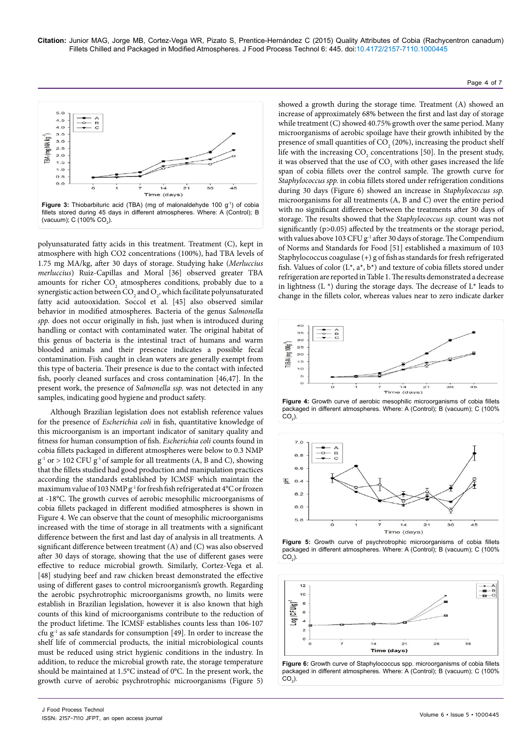

polyunsaturated fatty acids in this treatment. Treatment (C), kept in atmosphere with high CO2 concentrations (100%), had TBA levels of 1.75 mg MA/kg, after 30 days of storage. Studying hake (*Merluccius merluccius*) Ruiz-Capillas and Moral [36] observed greater TBA amounts for richer  $\mathrm{CO}_2$  atmospheres conditions, probably due to a synergistic action between CO<sub>2</sub> and O<sub>2</sub>, which facilitate polyunsaturated fatty acid autooxidation. Soccol et al. [45] also observed similar behavior in modified atmospheres. Bacteria of the genus *Salmonella spp.* does not occur originally in fish, just when is introduced during handling or contact with contaminated water. The original habitat of this genus of bacteria is the intestinal tract of humans and warm blooded animals and their presence indicates a possible fecal contamination. Fish caught in clean waters are generally exempt from this type of bacteria. Their presence is due to the contact with infected fish, poorly cleaned surfaces and cross contamination [46,47]. In the present work, the presence of *Salmonella ssp.* was not detected in any samples, indicating good hygiene and product safety.

Although Brazilian legislation does not establish reference values for the presence of *Escherichia coli* in fish, quantitative knowledge of this microorganism is an important indicator of sanitary quality and fitness for human consumption of fish. *Escherichia coli* counts found in cobia fillets packaged in different atmospheres were below to 0.3 NMP  $g^{-1}$  or > 102 CFU  $g^{-1}$  of sample for all treatments (A, B and C), showing that the fillets studied had good production and manipulation practices according the standards established by ICMSF which maintain the maximum value of 103 NMP g<sup>-1</sup> for fresh fish refrigerated at 4°C or frozen at -18°C. The growth curves of aerobic mesophilic microorganisms of cobia fillets packaged in different modified atmospheres is shown in Figure 4. We can observe that the count of mesophilic microorganisms increased with the time of storage in all treatments with a significant difference between the first and last day of analysis in all treatments. A significant difference between treatment (A) and (C) was also observed after 30 days of storage, showing that the use of different gases were effective to reduce microbial growth. Similarly, Cortez-Vega et al. [48] studying beef and raw chicken breast demonstrated the effective using of different gases to control microorganism's growth. Regarding the aerobic psychrotrophic microorganisms growth, no limits were establish in Brazilian legislation, however it is also known that high counts of this kind of microorganisms contribute to the reduction of the product lifetime. The ICMSF establishes counts less than 106-107 cfu g-1 as safe standards for consumption [49]. In order to increase the shelf life of commercial products, the initial microbiological counts must be reduced using strict hygienic conditions in the industry. In addition, to reduce the microbial growth rate, the storage temperature should be maintained at 1.5°C instead of 0°C. In the present work, the growth curve of aerobic psychrotrophic microorganisms (Figure 5)

showed a growth during the storage time. Treatment (A) showed an increase of approximately 68% between the first and last day of storage while treatment (C) showed 40.75% growth over the same period. Many microorganisms of aerobic spoilage have their growth inhibited by the presence of small quantities of CO<sub>2</sub> (20%), increasing the product shelf life with the increasing  $\mathrm{CO}_2$  concentrations [50]. In the present study, it was observed that the use of  $\mathrm{CO}_2$  with other gases increased the life span of cobia fillets over the control sample. The growth curve for *Staphylococcus spp.* in cobia fillets stored under refrigeration conditions during 30 days (Figure 6) showed an increase in *Staphylococcus ssp.* microorganisms for all treatments (A, B and C) over the entire period with no significant difference between the treatments after 30 days of storage. The results showed that the *Staphylococcus ssp.* count was not significantly (p>0.05) affected by the treatments or the storage period, with values above 103 CFU  $g^{-1}$  after 30 days of storage. The Compendium of Norms and Standards for Food [51] established a maximum of 103 Staphylococcus coagulase (+) g of fishas standards for fresh refrigerated fish. Values of color  $(L^*, a^*, b^*)$  and texture of cobia fillets stored under refrigeration are reported in Table 1. The results demonstrated a decrease in lightness (L  $*$ ) during the storage days. The decrease of L $*$  leads to change in the fillets color, whereas values near to zero indicate darker

Page 4 of 7









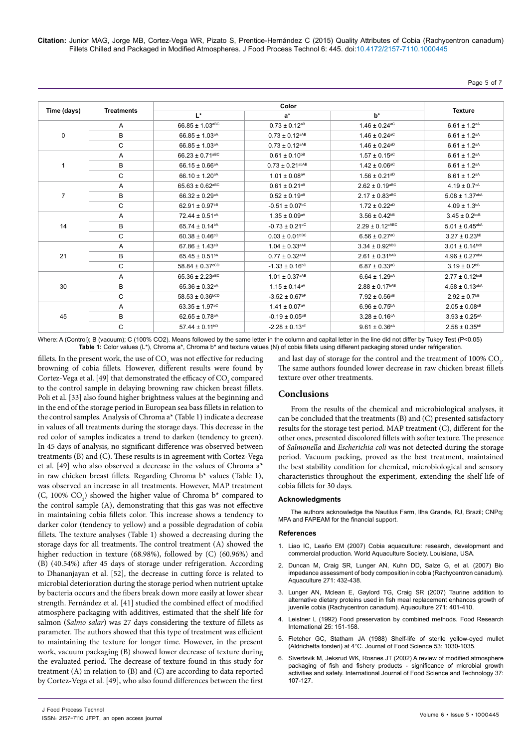**Citation:** Junior MAG, Jorge MB, Cortez-Vega WR, Pizato S, Prentice-Hernández C (2015) Quality Attributes of Cobia (Rachycentron canadum) Fillets Chilled and Packaged in Modified Atmospheres. J Food Process Technol 6: 445. doi[:10.4172/2157-7110.1000445](http://dx.doi.org/10.4172/2157-7110.1000445)

#### Page 5 of 7

| Time (days)    | <b>Treatments</b> | Color                           |                                 |                                 |                                |
|----------------|-------------------|---------------------------------|---------------------------------|---------------------------------|--------------------------------|
|                |                   | L*                              | $a^*$                           | $b^*$                           | <b>Texture</b>                 |
| 0              | Α                 | $66.85 \pm 1.03^{\text{aBC}}$   | $0.73 \pm 0.12^{aB}$            | $1.46 \pm 0.24$ <sup>aC</sup>   | $6.61 \pm 1.2^{aA}$            |
|                | B                 | 66.85 ± 1.03 <sup>aA</sup>      | $0.73 \pm 0.12^{aAB}$           | $1.46 \pm 0.24$ <sup>aC</sup>   | $6.61 \pm 1.2$ <sup>aA</sup>   |
|                | C                 | $66.85 \pm 1.03$ <sup>aA</sup>  | $0.73 \pm 0.12^{aAB}$           | $1.46 \pm 0.24^{aD}$            | $6.61 \pm 1.2$ aA              |
|                | A                 | $66.23 \pm 0.71$ <sup>aBC</sup> | $0.61 \pm 0.10^{bB}$            | $1.57 \pm 0.15$ <sup>aC</sup>   | $6.61 \pm 1.2$ aA              |
|                | B                 | $66.15 \pm 0.66$ <sup>aA</sup>  | $0.73 \pm 0.21$ <sup>abAB</sup> | $1.42 \pm 0.06^{\text{aC}}$     | $6.61 \pm 1.2$ aA              |
|                | C                 | 66.10 ± 1.20 <sup>aA</sup>      | $1.01 \pm 0.08$ <sup>aA</sup>   | $1.56 \pm 0.21^{aD}$            | $6.61 \pm 1.2$ <sup>aA</sup>   |
| $\overline{7}$ | Α                 | $65.63 \pm 0.62$ <sup>aBC</sup> | $0.61 \pm 0.21^{aB}$            | $2.62 \pm 0.19$ <sup>aBC</sup>  | $4.19 \pm 0.7$ <sup>cA</sup>   |
|                | B                 | $66.32 \pm 0.29$ aA             | $0.52 \pm 0.19^{aB}$            | $2.17 \pm 0.83$ <sup>aBC</sup>  | $5.08 \pm 1.37^{abA}$          |
|                | C                 | $62.91 \pm 0.97^{b}$            | $-0.51 \pm 0.07$ <sup>bC</sup>  | $1.72 \pm 0.22$ <sup>aD</sup>   | $4.09 \pm 1.3^{bA}$            |
| 14             | Α                 | 72.44 ± 0.51 <sup>aA</sup>      | $1.35 \pm 0.09$ <sup>aA</sup>   | $3.56 \pm 0.42^{b}$             | $3.45 \pm 0.2^{\text{bcB}}$    |
|                | B                 | $65.74 \pm 0.14^{bA}$           | $-0.73 \pm 0.21$ <sup>cC</sup>  | $2.29 \pm 0.12$ <sup>CABC</sup> | $5.01 \pm 0.45^{abA}$          |
|                | С                 | $60.38 \pm 0.46$ <sup>cC</sup>  | $0.03 \pm 0.01^{bBC}$           | $6.56 \pm 0.27$ <sup>aC</sup>   | $3.27 \pm 0.23^{bB}$           |
| 21             | A                 | $67.86 \pm 1.43aB$              | $1.04 \pm 0.33$ <sup>aAB</sup>  | $3.34 \pm 0.92^{bBC}$           | $3.01 \pm 0.14$ <sub>bcB</sub> |
|                | B                 | $65.45 \pm 0.51^{bA}$           | $0.77 \pm 0.32$ <sup>aAB</sup>  | $2.61 \pm 0.31^{bAB}$           | $4.96 \pm 0.27^{abA}$          |
|                | C                 | $58.84 \pm 0.37$ <sup>cCD</sup> | $-1.33 \pm 0.16^{b}$            | $6.87 \pm 0.33$ <sup>aC</sup>   | $3.19 \pm 0.2^{bB}$            |
| 30             | Α                 | $65.36 \pm 2.23$ <sup>aBC</sup> | $1.01 \pm 0.37^{aAB}$           | $6.64 \pm 1.29$ <sup>aA</sup>   | $2.77 \pm 0.12^{\text{bcB}}$   |
|                | B                 | $65.36 \pm 0.32$ aA             | $1.15 \pm 0.14$ aA              | $2.88 \pm 0.17^{bAB}$           | $4.58 \pm 0.13^{abA}$          |
|                | C                 | $58.53 \pm 0.36^{\text{bCD}}$   | $-3.52 \pm 0.67$ <sup>bF</sup>  | $7.92 \pm 0.56^{aB}$            | $2.92 \pm 0.7$ <sup>bB</sup>   |
| 45             | A                 | $63.35 \pm 1.97$ <sup>aC</sup>  | $1.41 \pm 0.07$ <sup>aA</sup>   | $6.96 \pm 0.75^{bA}$            | $2.05 \pm 0.08$ <sup>cB</sup>  |
|                | B                 | $62.65 \pm 0.78$ aA             | $-0.19 \pm 0.05$ <sup>cB</sup>  | $3.28 \pm 0.16$ <sup>cA</sup>   | $3.93 \pm 0.25$ <sup>aA</sup>  |
|                | C                 | $57.44 \pm 0.11^{bD}$           | $-2.28 \pm 0.13$ <sup>cE</sup>  | $9.61 \pm 0.36^{\text{aA}}$     | $2.58 \pm 0.35^{68}$           |

Where: A (Control); B (vacuum); C (100% CO2). Means followed by the same letter in the column and capital letter in the line did not differ by Tukey Test (P<0.05) **Table 1:** Color values (L\*), Chroma a\*, Chroma b\* and texture values (N) of cobia fillets using different packaging stored under refrigeration.

fillets. In the present work, the use of  $\mathrm{CO}_2$  was not effective for reducing browning of cobia fillets. However, different results were found by Cortez-Vega et al. [49] that demonstrated the efficacy of  $\mathrm{CO}_2$  compared to the control sample in delaying browning raw chicken breast fillets. Poli et al. [33] also found higher brightness values at the beginning and in the end of the storage period in European sea bass fillets in relation to the control samples. Analysis of Chroma a\* (Table 1) indicate a decrease in values of all treatments during the storage days. This decrease in the red color of samples indicates a trend to darken (tendency to green). In 45 days of analysis, no significant difference was observed between treatments (B) and (C). These results is in agreement with Cortez-Vega et al. [49] who also observed a decrease in the values of Chroma a\* in raw chicken breast fillets. Regarding Chroma b\* values (Table 1), was observed an increase in all treatments. However, MAP treatment  $(C, 100\%$   $CO<sub>2</sub>)$  showed the higher value of Chroma  $b^*$  compared to the control sample (A), demonstrating that this gas was not effective in maintaining cobia fillets color. This increase shows a tendency to darker color (tendency to yellow) and a possible degradation of cobia fillets. The texture analyses (Table 1) showed a decreasing during the storage days for all treatments. The control treatment (A) showed the higher reduction in texture (68.98%), followed by (C) (60.96%) and (B) (40.54%) after 45 days of storage under refrigeration. According to Dhananjayan et al. [52], the decrease in cutting force is related to microbial deterioration during the storage period when nutrient uptake by bacteria occurs and the fibers break down more easily at lower shear strength. Fernández et al. [41] studied the combined effect of modified atmosphere packaging with additives, estimated that the shelf life for salmon (*Salmo salar*) was 27 days considering the texture of fillets as parameter. The authors showed that this type of treatment was efficient to maintaining the texture for longer time. However, in the present work, vacuum packaging (B) showed lower decrease of texture during the evaluated period. The decrease of texture found in this study for treatment (A) in relation to (B) and (C) are according to data reported by Cortez-Vega et al. [49], who also found differences between the first

and last day of storage for the control and the treatment of  $100\%$  CO<sub>2</sub>. The same authors founded lower decrease in raw chicken breast fillets texture over other treatments.

## **Conclusions**

From the results of the chemical and microbiological analyses, it can be concluded that the treatments (B) and (C) presented satisfactory results for the storage test period. MAP treatment (C), different for the other ones, presented discolored fillets with softer texture. The presence of *Salmonella* and *Escherichia coli* was not detected during the storage period. Vacuum packing, proved as the best treatment, maintained the best stability condition for chemical, microbiological and sensory characteristics throughout the experiment, extending the shelf life of cobia fillets for 30 days.

#### **Acknowledgments**

The authors acknowledge the Nautilus Farm, Ilha Grande, RJ, Brazil; CNPq; MPA and FAPEAM for the financial support.

#### **References**

- 1. Liao IC, Leaño EM (2007) Cobia aquaculture: research, development and commercial production. World Aquaculture Society. Louisiana, USA.
- 2. [Duncan M, Craig SR, Lunger AN, Kuhn DD, Salze G, et al. \(2007\) Bio](http://www.sciencedirect.com/science/article/pii/S0044848607004772)  [impedance assessment of body composition in cobia \(Rachycentron canadum\).](http://www.sciencedirect.com/science/article/pii/S0044848607004772)  [Aquaculture 271: 432-438.](http://www.sciencedirect.com/science/article/pii/S0044848607004772)
- 3. [Lunger AN, Mclean E, Gaylord TG, Craig SR \(2007\) Taurine addition to](http://www.sciencedirect.com/science/article/pii/S0044848607005601)  [alternative dietary proteins used in fish meal replacement enhances growth of](http://www.sciencedirect.com/science/article/pii/S0044848607005601)  [juvenile cobia \(Rachycentron canadum\). Aquaculture 271: 401-410.](http://www.sciencedirect.com/science/article/pii/S0044848607005601)
- 4. [Leistner L \(1992\) Food preservation by combined methods. Food Research](http://www.sciencedirect.com/science/article/pii/0963996992901582)  [International 25: 151-158](http://www.sciencedirect.com/science/article/pii/0963996992901582).
- 5. [Fletcher GC, Statham JA \(1988\) Shelf-life of sterile yellow-eyed mullet](http://onlinelibrary.wiley.com/doi/10.1111/j.1365-2621.1988.tb13523.x/abstract)  [\(Aldrichetta forsteri\) at 4°C. Journal of Food Science 53: 1030-1035.](http://onlinelibrary.wiley.com/doi/10.1111/j.1365-2621.1988.tb13523.x/abstract)
- 6. [Sivertsvik M, Jeksrud WK, Rosnes JT \(2002\) A review of modified atmosphere](http://onlinelibrary.wiley.com/doi/10.1046/j.1365-2621.2002.00548.x/abstract)  [packaging of fish and fishery products - significance of microbial growth](http://onlinelibrary.wiley.com/doi/10.1046/j.1365-2621.2002.00548.x/abstract)  [activities and safety. International Journal of Food Science and Technology 37:](http://onlinelibrary.wiley.com/doi/10.1046/j.1365-2621.2002.00548.x/abstract)  [107-127.](http://onlinelibrary.wiley.com/doi/10.1046/j.1365-2621.2002.00548.x/abstract)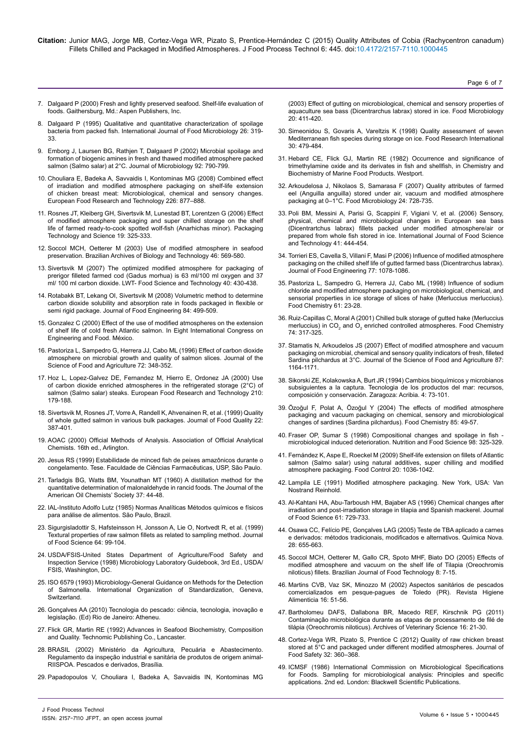**Citation:** Junior MAG, Jorge MB, Cortez-Vega WR, Pizato S, Prentice-Hernández C (2015) Quality Attributes of Cobia (Rachycentron canadum) Fillets Chilled and Packaged in Modified Atmospheres. J Food Process Technol 6: 445. doi[:10.4172/2157-7110.1000445](http://dx.doi.org/10.4172/2157-7110.1000445)

- 7. [Dalgaard P \(2000\) Fresh and lightly preserved seafood. Shelf-life evaluation of](http://books.google.co.in/books?hl=en&lr=&id=ovoNjpn6aLUC&oi=fnd&pg=PA110&dq=Fresh+and+lightly+preserved+seafood.+Shelf-life+evaluation+of+foods&ots=KJ9rEMj2LP&sig=-IqRmIM5pAmNKs497rUvPk5dcjM#v=onepage&q=Fresh and lightly preserved seafood. Shelf-life evaluation of foods&f=false) [foods. Gaithersburg, Md.: Aspen Publishers, Inc.](http://books.google.co.in/books?hl=en&lr=&id=ovoNjpn6aLUC&oi=fnd&pg=PA110&dq=Fresh+and+lightly+preserved+seafood.+Shelf-life+evaluation+of+foods&ots=KJ9rEMj2LP&sig=-IqRmIM5pAmNKs497rUvPk5dcjM#v=onepage&q=Fresh and lightly preserved seafood. Shelf-life evaluation of foods&f=false)
- 8. [Dalgaard P \(1995\) Qualitative and quantitative characterization of spoilage](http://www.ncbi.nlm.nih.gov/pubmed/7488527/) [bacteria from packed fish. International Journal of Food Microbiology 26: 319-](http://www.ncbi.nlm.nih.gov/pubmed/7488527/) [33.](http://www.ncbi.nlm.nih.gov/pubmed/7488527/)
- 9. [Emborg J, Laursen BG, Rathjen T, Dalgaard P \(2002\) Microbial spoilage and](http://www.ncbi.nlm.nih.gov/pubmed/11966922) [formation of biogenic amines in fresh and thawed modified atmosphere packed](http://www.ncbi.nlm.nih.gov/pubmed/11966922) [salmon \(Salmo salar\) at 2°C. Journal of Microbiology 92: 790-799.](http://www.ncbi.nlm.nih.gov/pubmed/11966922)
- 10. [Chouliara E, Badeka A, Savvaidis I, Kontominas MG \(2008\) Combined effect](http://link.springer.com/article/10.1007%2Fs00217-007-0610-3#page-1) [of irradiation and modified atmosphere packaging on shelf-life extension](http://link.springer.com/article/10.1007%2Fs00217-007-0610-3#page-1) [of chicken breast meat: Microbiological, chemical and sensory changes.](http://link.springer.com/article/10.1007%2Fs00217-007-0610-3#page-1) [European Food Research and Technology 226: 877–888.](http://link.springer.com/article/10.1007%2Fs00217-007-0610-3#page-1)
- 11. [Rosnes JT, Kleiberg GH, Sivertsvik M, Lunestad BT, Lorentzen G \(2006\) Effect](http://onlinelibrary.wiley.com/doi/10.1002/pts.735/abstract) [of modified atmosphere packaging and super chilled storage on the shelf](http://onlinelibrary.wiley.com/doi/10.1002/pts.735/abstract) [life of farmed ready-to-cook spotted wolf-fish \(Anarhichas minor\). Packaging](http://onlinelibrary.wiley.com/doi/10.1002/pts.735/abstract) [Technology and Science 19: 325-333.](http://onlinelibrary.wiley.com/doi/10.1002/pts.735/abstract)
- 12. [Soccol MCH, Oetterer M \(2003\) Use of modified atmosphere in seafood](http://www.scielo.br/scielo.php?script=sci_arttext&pid=S1516-89132003000400011) [preservation. Brazilian Archives of Biology and Technology 46: 569-580.](http://www.scielo.br/scielo.php?script=sci_arttext&pid=S1516-89132003000400011)
- 13. [Sivertsvik M \(2007\) The optimized modified atmosphere for packaging of](http://www.researchgate.net/publication/256804207_The_optimized_modified_atmosphere_for_packaging_of_pre-rigor_filleted_farmed_cod_%28Gadus_morhua%29_is_63_ml100_ml_oxygen_and_37_ml100_ml_carbon_dioxide) [prerigor filleted farmed cod \(Gadus morhua\) is 63 ml/100 ml oxygen and 37](http://www.researchgate.net/publication/256804207_The_optimized_modified_atmosphere_for_packaging_of_pre-rigor_filleted_farmed_cod_%28Gadus_morhua%29_is_63_ml100_ml_oxygen_and_37_ml100_ml_carbon_dioxide) [ml/ 100 ml carbon dioxide. LWT- Food Science and Technology 40: 430-438.](http://www.researchgate.net/publication/256804207_The_optimized_modified_atmosphere_for_packaging_of_pre-rigor_filleted_farmed_cod_%28Gadus_morhua%29_is_63_ml100_ml_oxygen_and_37_ml100_ml_carbon_dioxide)
- 14. Rotabakk BT, Lekang OI, Sivertsvik M (2008) Volumetric method to determine carbon dioxide solubility and absorption rate in foods packaged in flexible or semi rigid package. Journal of Food Engineering 84: 499-509.
- 15. Gonzalez C (2000) Effect of the use of modified atmospheres on the extension of shelf life of cold fresh Atlantic salmon. In Eight International Congress on Engineering and Food. México.
- 16. [Pastoriza L, Sampedro G, Herrera JJ, Cabo ML \(1996\) Effect of carbon dioxide](http://onlinelibrary.wiley.com/doi/10.1002/%28SICI%291097-0010%28199611%2972:3%3C348::AID-JSFA666%3E3.0.CO;2-O/abstract) [atmosphere on microbial growth and quality of salmon slices. Journal of the](http://onlinelibrary.wiley.com/doi/10.1002/%28SICI%291097-0010%28199611%2972:3%3C348::AID-JSFA666%3E3.0.CO;2-O/abstract) [Science of Food and Agriculture 72: 348-352.](http://onlinelibrary.wiley.com/doi/10.1002/%28SICI%291097-0010%28199611%2972:3%3C348::AID-JSFA666%3E3.0.CO;2-O/abstract)
- 17. [Hoz L, Lopez-Galvez DE, Fernandez M, Hierro E, Ordonez JA \(2000\) Use](http://www.researchgate.net/publication/225773560_Use_of_carbon_dioxide_enriched_atmospheres_in_the_refrigerated_storage_%282_C%29_of_salmon_%28_Salmo_salar_%29_steaks) [of carbon dioxide enriched atmospheres in the refrigerated storage \(2°C\) of](http://www.researchgate.net/publication/225773560_Use_of_carbon_dioxide_enriched_atmospheres_in_the_refrigerated_storage_%282_C%29_of_salmon_%28_Salmo_salar_%29_steaks) [salmon \(Salmo salar\) steaks. European Food Research and Technology 210:](http://www.researchgate.net/publication/225773560_Use_of_carbon_dioxide_enriched_atmospheres_in_the_refrigerated_storage_%282_C%29_of_salmon_%28_Salmo_salar_%29_steaks) [179-188.](http://www.researchgate.net/publication/225773560_Use_of_carbon_dioxide_enriched_atmospheres_in_the_refrigerated_storage_%282_C%29_of_salmon_%28_Salmo_salar_%29_steaks)
- 18. [Sivertsvik M, Rosnes JT, Vorre A, Randell K, Ahvenainen R, et al. \(1999\) Quality](http://www.researchgate.net/publication/215837504_Quality_of_whole_gutted_salmon_in_various_bulk_packages) [of whole gutted salmon in various bulk packages. Journal of Food Quality 22:](http://www.researchgate.net/publication/215837504_Quality_of_whole_gutted_salmon_in_various_bulk_packages) [387-401.](http://www.researchgate.net/publication/215837504_Quality_of_whole_gutted_salmon_in_various_bulk_packages)
- 19. [AOAC \(2000\) Official Methods of Analysis. Association of Official Analytical](http://www.cabdirect.org/abstracts/19951414840.html;jsessionid=EED85BD89DAD791059E94E789E4D18C1) [Chemists. 16th ed., Arlington.](http://www.cabdirect.org/abstracts/19951414840.html;jsessionid=EED85BD89DAD791059E94E789E4D18C1)
- 20. Jesus RS (1999) Estabilidade de minced fish de peixes amazônicos durante o congelamento. Tese. Faculdade de Ciências Farmacêuticas, USP, São Paulo.
- 21. [Tarladgis BG, Watts BM, Younathan MT \(1960\) A distillation method for the](http://libra.msra.cn/Publication/40046759/a-distillation-method-for-the-quantitative-determination-of-malonaldehyde-in-rancid-foods) [quantitative determination of malonaldehyde in rancid foods. The Journal of the](http://libra.msra.cn/Publication/40046759/a-distillation-method-for-the-quantitative-determination-of-malonaldehyde-in-rancid-foods) [American Oil Chemists' Society 37: 44-48.](http://libra.msra.cn/Publication/40046759/a-distillation-method-for-the-quantitative-determination-of-malonaldehyde-in-rancid-foods)
- 22. IAL-Instituto Adolfo Lutz (1985) Normas Analíticas Métodos químicos e físicos para análise de alimentos. São Paulo, Brazil.
- 23. [Sigurgisladottir S, Hafsteinsson H, Jonsson A, Lie O, Nortvedt R, et al. \(1999\)](http://onlinelibrary.wiley.com/doi/10.1111/j.1365-2621.1999.tb09869.x/abstract) [Textural properties of raw salmon fillets as related to sampling method. Journal](http://onlinelibrary.wiley.com/doi/10.1111/j.1365-2621.1999.tb09869.x/abstract) [of Food Science 64: 99-104.](http://onlinelibrary.wiley.com/doi/10.1111/j.1365-2621.1999.tb09869.x/abstract)
- 24. USDA/FSIS-United States Department of Agriculture/Food Safety and Inspection Service (1998) Microbiology Laboratory Guidebook, 3rd Ed., USDA/ FSIS, Washington, DC.
- 25. [ISO 6579 \(1993\) Microbiology-General Guidance on Methods for the Detection](http://www.iso.org/iso/iso_catalogue/catalogue_ics/catalogue_detail_ics.htm?csnumber=12985) [of Salmonella. International Organization of Standardization, Geneva,](http://www.iso.org/iso/iso_catalogue/catalogue_ics/catalogue_detail_ics.htm?csnumber=12985) [Switzerland.](http://www.iso.org/iso/iso_catalogue/catalogue_ics/catalogue_detail_ics.htm?csnumber=12985)
- 26. [Gonçalves AA \(2010\) Tecnologia do pescado: ciência, tecnologia, inovação e](http://www.saraiva.com.br/tecnologia-do-pescado-ciencia-tecnologia-inovacao-e-legislacao-3531601.html) [legislação. \(Ed\) Rio de Janeiro: Atheneu.](http://www.saraiva.com.br/tecnologia-do-pescado-ciencia-tecnologia-inovacao-e-legislacao-3531601.html)
- 27. [Flick GR, Martin RE \(1992\) Advances in Seafood Biochemistry, Composition](http://www.amazon.com/Advances-Seafood-Biochemistry-Composition-Quality/dp/0877629315) [and Quality. Technomic Publishing Co., Lancaster](http://www.amazon.com/Advances-Seafood-Biochemistry-Composition-Quality/dp/0877629315).
- 28. BRASIL (2002) Ministério da Agricultura, Pecuária e Abastecimento. Regulamento da inspeção industrial e sanitária de produtos de origem animal-RIISPOA. Pescados e derivados, Brasília.
- 29. [Papadopoulos V, Chouliara I, Badeka A, Savvaidis IN, Kontominas MG](http://www.google.co.in/url?sa=t&rct=j&q=&esrc=s&source=web&cd=3&ved=0CC8QFjAC&url=http%3A%2F%2Fxa.yimg.com%2Fkq%2Fgroups%2F3004572%2F1746270497%2Fname%2Fhttp___www.sciencedirect.com_science__ob%253DMImg%2526_imagekey%253DB6WFP-48BKRFP-6-B%2526_cdi%253D6800%2526_user%253D917906%2526_pii%253DS07400020&ei=F0MmVazKN5G_uAS72oKABg&usg=AFQjCNEHNmmTxWDEOiUeTY-wehjbVHpvZw&bvm=bv.90491159,d.c2E)

[\(2003\) Effect of gutting on microbiological, chemical and sensory properties of](http://www.google.co.in/url?sa=t&rct=j&q=&esrc=s&source=web&cd=3&ved=0CC8QFjAC&url=http%3A%2F%2Fxa.yimg.com%2Fkq%2Fgroups%2F3004572%2F1746270497%2Fname%2Fhttp___www.sciencedirect.com_science__ob%253DMImg%2526_imagekey%253DB6WFP-48BKRFP-6-B%2526_cdi%253D6800%2526_user%253D917906%2526_pii%253DS07400020&ei=F0MmVazKN5G_uAS72oKABg&usg=AFQjCNEHNmmTxWDEOiUeTY-wehjbVHpvZw&bvm=bv.90491159,d.c2E)  [aquaculture sea bass \(Dicentrarchus labrax\) stored in ice. Food Microbiology](http://www.google.co.in/url?sa=t&rct=j&q=&esrc=s&source=web&cd=3&ved=0CC8QFjAC&url=http%3A%2F%2Fxa.yimg.com%2Fkq%2Fgroups%2F3004572%2F1746270497%2Fname%2Fhttp___www.sciencedirect.com_science__ob%253DMImg%2526_imagekey%253DB6WFP-48BKRFP-6-B%2526_cdi%253D6800%2526_user%253D917906%2526_pii%253DS07400020&ei=F0MmVazKN5G_uAS72oKABg&usg=AFQjCNEHNmmTxWDEOiUeTY-wehjbVHpvZw&bvm=bv.90491159,d.c2E)  [20: 411-420.](http://www.google.co.in/url?sa=t&rct=j&q=&esrc=s&source=web&cd=3&ved=0CC8QFjAC&url=http%3A%2F%2Fxa.yimg.com%2Fkq%2Fgroups%2F3004572%2F1746270497%2Fname%2Fhttp___www.sciencedirect.com_science__ob%253DMImg%2526_imagekey%253DB6WFP-48BKRFP-6-B%2526_cdi%253D6800%2526_user%253D917906%2526_pii%253DS07400020&ei=F0MmVazKN5G_uAS72oKABg&usg=AFQjCNEHNmmTxWDEOiUeTY-wehjbVHpvZw&bvm=bv.90491159,d.c2E)

Page 6 of 7

- 30. [Simeonidou S, Govaris A, Vareltzis K \(1998\) Quality assessment of seven](http://www.sciencedirect.com/science/article/pii/S0963996998000088)  [Mediterranean fish species during storage on ice. Food Research International](http://www.sciencedirect.com/science/article/pii/S0963996998000088)  [30: 479-484.](http://www.sciencedirect.com/science/article/pii/S0963996998000088)
- 31. Hebard CE, Flick GJ, Martin RE (1982) Occurrence and significance of trimethylamine oxide and its derivates in fish and shellfish, in Chemistry and Biochemistry of Marine Food Products. Westport.
- 32. [Arkoudelosa J, Nikolaos S, Samarasa F \(2007\) Quality attributes of farmed](http://www.ncbi.nlm.nih.gov/pubmed/17613370)  [eel \(Anguilla anguilla\) stored under air, vacuum and modified atmosphere](http://www.ncbi.nlm.nih.gov/pubmed/17613370)  [packaging at 0–1°C. Food Microbiology 24: 728-735.](http://www.ncbi.nlm.nih.gov/pubmed/17613370)
- 33. [Poli BM, Messini A, Parisi G, Scappini F, Vigiani V, et al. \(2006\) Sensory,](http://onlinelibrary.wiley.com/doi/10.1111/j.1365-2621.2005.01094.x/abstract)  [physical, chemical and microbiological changes in European sea bass](http://onlinelibrary.wiley.com/doi/10.1111/j.1365-2621.2005.01094.x/abstract)  [\(Dicentrartchus labrax\) fillets packed under modified atmosphere/air or](http://onlinelibrary.wiley.com/doi/10.1111/j.1365-2621.2005.01094.x/abstract)  [prepared from whole fish stored in ice. International Journal of Food Science](http://onlinelibrary.wiley.com/doi/10.1111/j.1365-2621.2005.01094.x/abstract)  [and Technology 41: 444-454.](http://onlinelibrary.wiley.com/doi/10.1111/j.1365-2621.2005.01094.x/abstract)
- 34. [Torrieri ES, Cavella S, Villani F, Masi P \(2006\) Influence of modified atmosphere](http://www.sciencedirect.com/science/article/pii/S0260877405006023)  [packaging on the chilled shelf life of gutted farmed bass \(Dicentrarchus labrax\).](http://www.sciencedirect.com/science/article/pii/S0260877405006023)  [Journal of Food Engineering 77: 1078-1086.](http://www.sciencedirect.com/science/article/pii/S0260877405006023)
- 35. [Pastoriza L, Sampedro G, Herrera JJ, Cabo ML \(1998\) Influence of sodium](http://digital.csic.es/handle/10261/58214)  [chloride and modified atmosphere packaging on microbiological, chemical, and](http://digital.csic.es/handle/10261/58214)  [sensorial properties in ice storage of slices of hake \(Merluccius merluccius\).](http://digital.csic.es/handle/10261/58214)  [Food Chemistry 61: 23-28.](http://digital.csic.es/handle/10261/58214)
- 36. [Ruiz-Capillas C, Moral A \(2001\) Chilled bulk storage of gutted hake \(Merluccius](http://digital.csic.es/handle/10261/87478)  merluccius) in  $CO<sub>2</sub>$  and  $O<sub>2</sub>$  enriched controlled atmospheres. Food Chemistry [74: 317-325.](http://digital.csic.es/handle/10261/87478)
- 37. [Stamatis N, Arkoudelos JS \(2007\) Effect of modified atmosphere and vacuum](http://onlinelibrary.wiley.com/doi/10.1002/jsfa.2858/abstract)  [packaging on microbial, chemical and sensory quality indicators of fresh, filleted](http://onlinelibrary.wiley.com/doi/10.1002/jsfa.2858/abstract)  [Sardina pilchardus at 3°C. Journal of the Science of Food and Agriculture 87:](http://onlinelibrary.wiley.com/doi/10.1002/jsfa.2858/abstract)  [1164-1171.](http://onlinelibrary.wiley.com/doi/10.1002/jsfa.2858/abstract)
- 38. Sikorski ZE, Kolakowska A, Burt JR (1994) Cambios bioquímicos y microbianos subsiguientes a la captura. Tecnologia de los productos del mar: recursos, composición y conservación. Zaragoza: Acribia. 4: 73-101.
- 39. [Özoğul F, Polat A, Özoğul Y \(2004\) The effects of modified atmosphere](http://www.sciencedirect.com/science/article/pii/S0308814603003315)  [packaging and vacuum packaging on chemical, sensory and microbiological](http://www.sciencedirect.com/science/article/pii/S0308814603003315)  [changes of sardines \(Sardina pilchardus\). Food Chemistry 85: 49-57.](http://www.sciencedirect.com/science/article/pii/S0308814603003315)
- 40. [Fraser OP, Sumar S \(1998\) Compositional changes and spoilage in fish](http://www.emeraldinsight.com/doi/abs/10.1108/00346659810235242)  [microbiological induced deterioration. Nutrition and Food Science 98: 325-329.](http://www.emeraldinsight.com/doi/abs/10.1108/00346659810235242)
- 41. Fernández K, Aspe E, Roeckel M (2009) Shelf-life extension on fillets of Atlantic salmon (Salmo salar) using natural additives, super chilling and modified atmosphere packaging. Food Control 20: 1036-1042.
- 42. Lampila LE (1991) Modified atmosphere packaging. New York, USA: Van Nostrand Reinhold.
- 43. [Al-Kahtani HA, Abu-Tarboush HM, Bajaber AS \(1996\) Chemical changes after](http://onlinelibrary.wiley.com/doi/10.1111/j.1365-2621.1996.tb12191.x/abstract)  [irradiation and post-irradiation storage in tilapia and Spanish mackerel. Journal](http://onlinelibrary.wiley.com/doi/10.1111/j.1365-2621.1996.tb12191.x/abstract)  [of Food Science 61: 729-733.](http://onlinelibrary.wiley.com/doi/10.1111/j.1365-2621.1996.tb12191.x/abstract)
- 44. [Osawa CC, Felício PE, Gonçalves LAG \(2005\) Teste de TBA aplicado a carnes](http://www.scielo.br/scielo.php?pid=s0100-40422005000400019&script=sci_arttext)  [e derivados: métodos tradicionais, modificados e alternativos. Química Nova.](http://www.scielo.br/scielo.php?pid=s0100-40422005000400019&script=sci_arttext)  [28: 655-663.](http://www.scielo.br/scielo.php?pid=s0100-40422005000400019&script=sci_arttext)
- 45. [Soccol MCH, Oetterer M, Gallo CR, Spoto MHF, Biato DO \(2005\) Effects of](http://www.ital.sp.gov.br/bj/artigos/brazilianjournal/free/p05181.pdf)  [modified atmosphere and vacuum on the shelf life of Tilapia \(Oreochromis](http://www.ital.sp.gov.br/bj/artigos/brazilianjournal/free/p05181.pdf)  [niloticus\) fillets. Brazilian Journal of Food Technology 8: 7-15.](http://www.ital.sp.gov.br/bj/artigos/brazilianjournal/free/p05181.pdf)
- 46. [Martins CVB, Vaz SK, Minozzo M \(2002\) Aspectos sanitários de pescados](http://www.worldcat.org/title/aspectos-sanitarios-de-pescados-comercializados-em-pesque-pagues-de-toledo-pr/oclc/70013825)  [comercializados em pesque-pagues de Toledo \(PR\). Revista Higiene](http://www.worldcat.org/title/aspectos-sanitarios-de-pescados-comercializados-em-pesque-pagues-de-toledo-pr/oclc/70013825)  [Alimenticia 16: 51-56.](http://www.worldcat.org/title/aspectos-sanitarios-de-pescados-comercializados-em-pesque-pagues-de-toledo-pr/oclc/70013825)
- 47. [Bartholomeu DAFS, Dallabona BR, Macedo REF, Kirschnik PG \(2011\)](http://ojs.c3sl.ufpr.br/ojs/index.php/veterinary/article/view/22788)  [Contaminação microbiológica durante as etapas de processamento de filé de](http://ojs.c3sl.ufpr.br/ojs/index.php/veterinary/article/view/22788)  [tilápia \(Oreochromis niloticus\). Archives of Veterinary Science 16: 21-30.](http://ojs.c3sl.ufpr.br/ojs/index.php/veterinary/article/view/22788)
- 48. [Cortez-Vega WR, Pizato S, Prentice C \(2012\) Quality of raw chicken breast](http://onlinelibrary.wiley.com/doi/10.1111/j.1745-4565.2012.00388.x/abstract)  [stored at 5°C and packaged under different modified atmospheres. Journal of](http://onlinelibrary.wiley.com/doi/10.1111/j.1745-4565.2012.00388.x/abstract)  [Food Safety 32: 360–368.](http://onlinelibrary.wiley.com/doi/10.1111/j.1745-4565.2012.00388.x/abstract)
- 49. ICMSF (1986) International Commission on Microbiological Specifications for Foods. Sampling for microbiological analysis: Principles and specific applications. 2nd ed. London: Blackwell Scientific Publications.